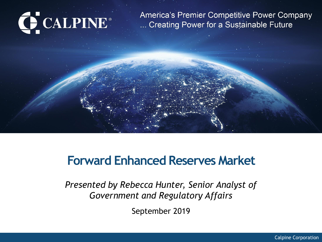# C CALPINE®

America's Premier Competitive Power Company ... Creating Power for a Sustainable Future

### **Forward Enhanced Reserves Market**

*Presented by Rebecca Hunter, Senior Analyst of Government and Regulatory Affairs* 

September 2019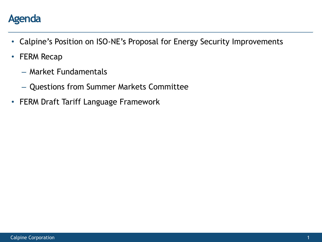

- Calpine's Position on ISO-NE's Proposal for Energy Security Improvements
- FERM Recap
	- Market Fundamentals
	- Questions from Summer Markets Committee
- FERM Draft Tariff Language Framework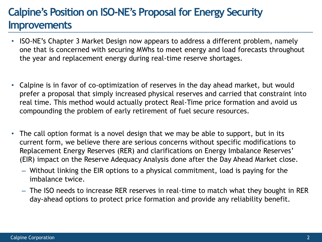#### **Calpine's Position on ISO-NE's Proposal for Energy Security Improvements**

- ISO-NE's Chapter 3 Market Design now appears to address a different problem, namely one that is concerned with securing MWhs to meet energy and load forecasts throughout the year and replacement energy during real-time reserve shortages.
- Calpine is in favor of co-optimization of reserves in the day ahead market, but would prefer a proposal that simply increased physical reserves and carried that constraint into real time. This method would actually protect Real-Time price formation and avoid us compounding the problem of early retirement of fuel secure resources.
- The call option format is a novel design that we may be able to support, but in its current form, we believe there are serious concerns without specific modifications to Replacement Energy Reserves (RER) and clarifications on Energy Imbalance Reserves' (EIR) impact on the Reserve Adequacy Analysis done after the Day Ahead Market close.
	- Without linking the EIR options to a physical commitment, load is paying for the imbalance twice.
	- The ISO needs to increase RER reserves in real-time to match what they bought in RER day-ahead options to protect price formation and provide any reliability benefit.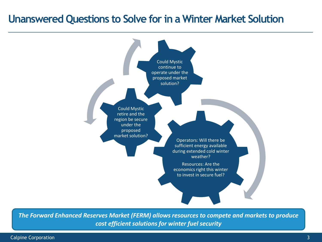#### **Unanswered Questions to Solve for in a Winter Market Solution**



*The Forward Enhanced Reserves Market (FERM) allows resources to compete and markets to produce cost efficient solutions for winter fuel security*

Calpine Corporation 3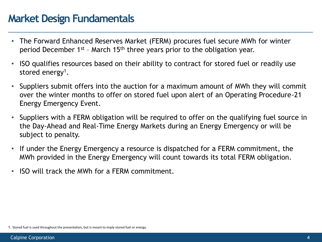#### **Market Design Fundamentals**

- The Forward Enhanced Reserves Market (FERM) procures fuel secure MWh for winter period December  $1^{st}$  - March  $15^{th}$  three years prior to the obligation year.
- ISO qualifies resources based on their ability to contract for stored fuel or readily use stored energy<sup>1</sup>.
- Suppliers submit offers into the auction for a maximum amount of MWh they will commit over the winter months to offer on stored fuel upon alert of an Operating Procedure-21 Energy Emergency Event.
- Suppliers with a FERM obligation will be required to offer on the qualifying fuel source in the Day-Ahead and Real-Time Energy Markets during an Energy Emergency or will be subject to penalty.
- If under the Energy Emergency a resource is dispatched for a FERM commitment, the MWh provided in the Energy Emergency will count towards its total FERM obligation.
- ISO will track the MWh for a FERM commitment.

<sup>1.</sup> Stored fuel is used throughout the presentation, but is meant to imply stored fuel or energy.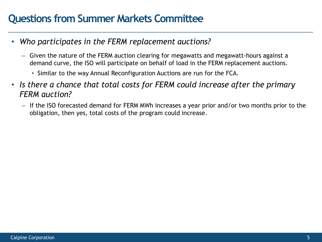- *Who participates in the FERM replacement auctions?*
	- Given the nature of the FERM auction clearing for megawatts and megawatt-hours against a demand curve, the ISO will participate on behalf of load in the FERM replacement auctions.
		- Similar to the way Annual Reconfiguration Auctions are run for the FCA.
- *Is there a chance that total costs for FERM could increase after the primary FERM auction?*
	- If the ISO forecasted demand for FERM MWh increases a year prior and/or two months prior to the obligation, then yes, total costs of the program could increase.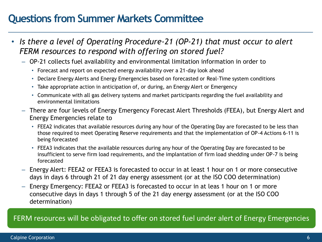- *Is there a level of Operating Procedure-21 (OP-21) that must occur to alert FERM resources to respond with offering on stored fuel?* 
	- OP-21 collects fuel availability and environmental limitation information in order to
		- Forecast and report on expected energy availability over a 21-day look ahead
		- Declare Energy Alerts and Energy Emergencies based on forecasted or Real-Time system conditions
		- Take appropriate action in anticipation of, or during, an Energy Alert or Emergency
		- Communicate with all gas delivery systems and market participants regarding the fuel availability and environmental limitations
	- There are four levels of Energy Emergency Forecast Alert Thresholds (FEEA), but Energy Alert and Energy Emergencies relate to
		- FEEA2 indicates that available resources during any hour of the Operating Day are forecasted to be less than those required to meet Operating Reserve requirements and that the implementation of OP-4 Actions 6-11 is being forecasted
		- FEEA3 indicates that the available resources during any hour of the Operating Day are forecasted to be insufficient to serve firm load requirements, and the implantation of firm load shedding under OP-7 is being forecasted
	- Energy Alert: FEEA2 or FEEA3 is forecasted to occur in at least 1 hour on 1 or more consecutive days in days 6 through 21 of 21 day energy assessment (or at the ISO COO determination)
	- Energy Emergency: FEEA2 or FEEA3 is forecasted to occur in at leas 1 hour on 1 or more consecutive days in days 1 through 5 of the 21 day energy assessment (or at the ISO COO determination)

#### FERM resources will be obligated to offer on stored fuel under alert of Energy Emergencies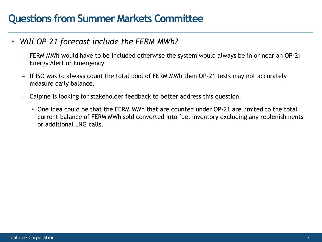- *Will OP-21 forecast include the FERM MWh?*
	- FERM MWh would have to be included otherwise the system would always be in or near an OP-21 Energy Alert or Emergency
	- If ISO was to always count the total pool of FERM MWh then OP-21 tests may not accurately measure daily balance.
	- Calpine is looking for stakeholder feedback to better address this question.
		- One idea could be that the FERM MWh that are counted under OP-21 are limited to the total current balance of FERM MWh sold converted into fuel inventory excluding any replenishments or additional LNG calls.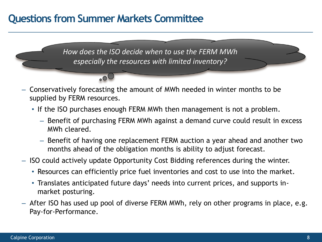$\circ$ <sup>O</sup>

*How does the ISO decide when to use the FERM MWh especially the resources with limited inventory?*

- Conservatively forecasting the amount of MWh needed in winter months to be supplied by FERM resources.
	- If the ISO purchases enough FERM MWh then management is not a problem.
		- Benefit of purchasing FERM MWh against a demand curve could result in excess MWh cleared.
		- Benefit of having one replacement FERM auction a year ahead and another two months ahead of the obligation months is ability to adjust forecast.
- ISO could actively update Opportunity Cost Bidding references during the winter.
	- Resources can efficiently price fuel inventories and cost to use into the market.
	- Translates anticipated future days' needs into current prices, and supports inmarket posturing.
- After ISO has used up pool of diverse FERM MWh, rely on other programs in place, e.g. Pay-for-Performance.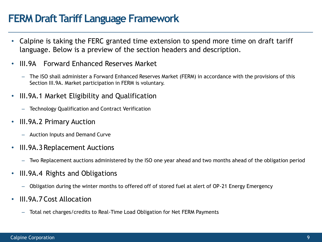#### **FERM Draft Tariff Language Framework**

- Calpine is taking the FERC granted time extension to spend more time on draft tariff language. Below is a preview of the section headers and description.
- III.9A Forward Enhanced Reserves Market
	- The ISO shall administer a Forward Enhanced Reserves Market (FERM) in accordance with the provisions of this Section III.9A. Market participation in FERM is voluntary.
- III.9A.1 Market Eligibility and Qualification
	- Technology Qualification and Contract Verification
- III.9A.2 Primary Auction
	- Auction Inputs and Demand Curve
- III.9A.3 Replacement Auctions
	- Two Replacement auctions administered by the ISO one year ahead and two months ahead of the obligation period
- III.9A.4 Rights and Obligations
	- Obligation during the winter months to offered off of stored fuel at alert of OP-21 Energy Emergency
- III.9A.7 Cost Allocation
	- Total net charges/credits to Real-Time Load Obligation for Net FERM Payments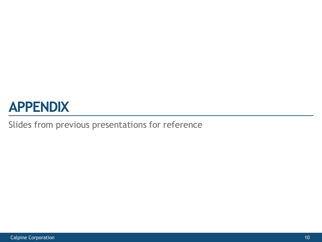## **APPENDIX**

#### Slides from previous presentations for reference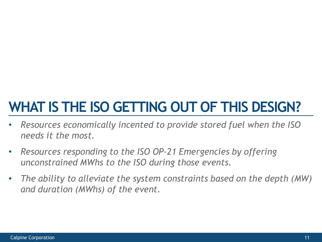## **WHAT IS THE ISO GETTING OUT OF THIS DESIGN?**

- *Resources economically incented to provide stored fuel when the ISO needs it the most.*
- *Resources responding to the ISO OP-21 Emergencies by offering unconstrained MWhs to the ISO during those events.*
- *The ability to alleviate the system constraints based on the depth (MW) and duration (MWhs) of the event.*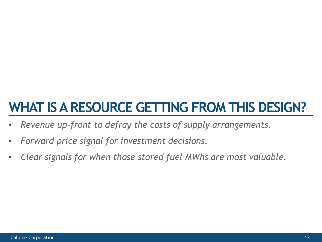## **WHAT IS A RESOURCE GETTING FROM THIS DESIGN?**

- *Revenue up-front to defray the costs of supply arrangements.*
- *Forward price signal for investment decisions.*
- *Clear signals for when those stored fuel MWhs are most valuable.*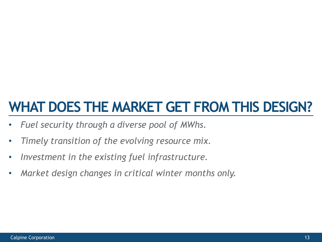## **WHAT DOES THE MARKET GET FROM THIS DESIGN?**

- *Fuel security through a diverse pool of MWhs.*
- *Timely transition of the evolving resource mix.*
- *Investment in the existing fuel infrastructure.*
- *Market design changes in critical winter months only.*